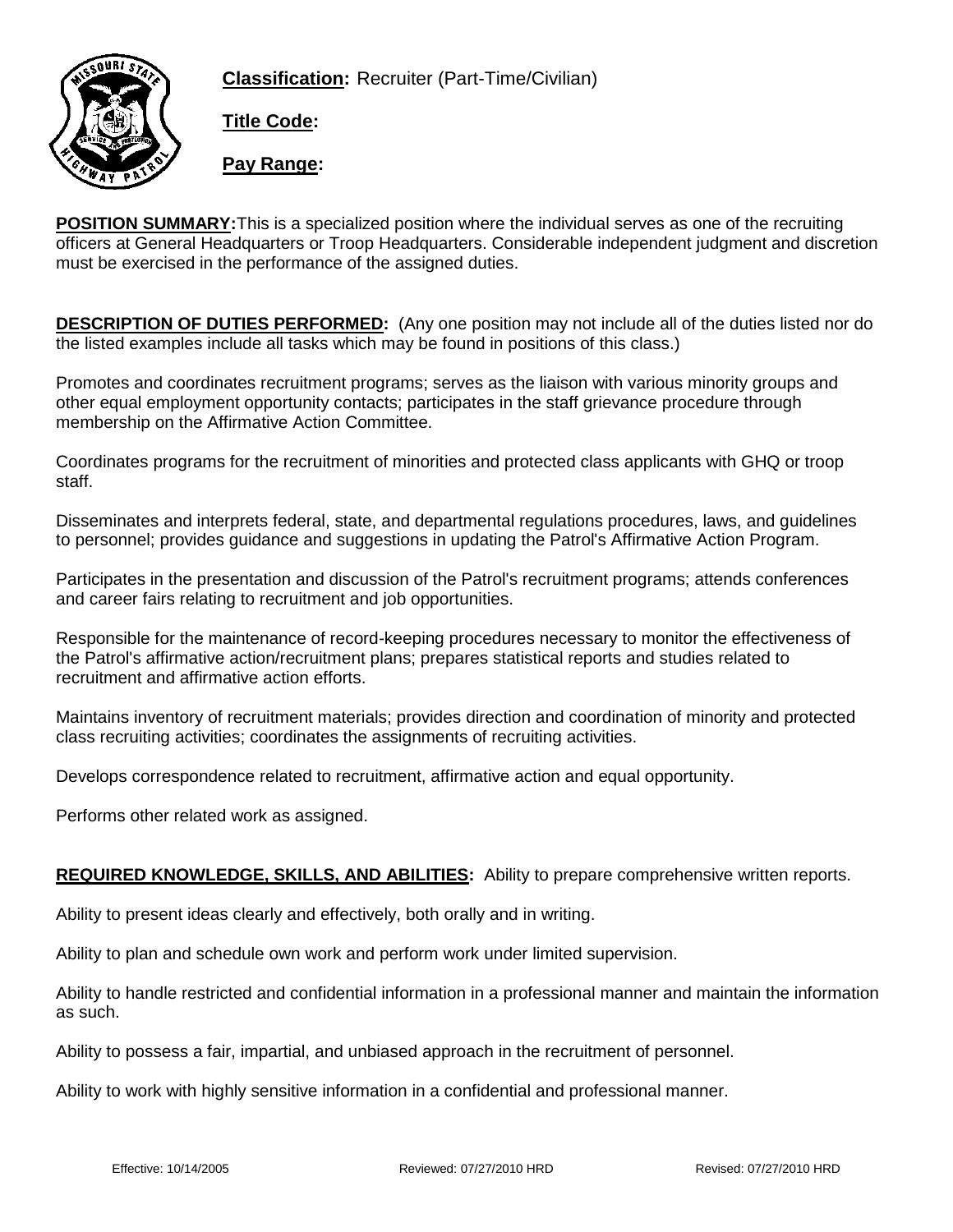**Classification:** Recruiter (Part-Time/Civilian)



**Title Code:**

**Pay Range:**

**POSITION SUMMARY:**This is a specialized position where the individual serves as one of the recruiting officers at General Headquarters or Troop Headquarters. Considerable independent judgment and discretion must be exercised in the performance of the assigned duties.

**DESCRIPTION OF DUTIES PERFORMED:** (Any one position may not include all of the duties listed nor do the listed examples include all tasks which may be found in positions of this class.)

Promotes and coordinates recruitment programs; serves as the liaison with various minority groups and other equal employment opportunity contacts; participates in the staff grievance procedure through membership on the Affirmative Action Committee.

Coordinates programs for the recruitment of minorities and protected class applicants with GHQ or troop staff.

Disseminates and interprets federal, state, and departmental regulations procedures, laws, and guidelines to personnel; provides guidance and suggestions in updating the Patrol's Affirmative Action Program.

Participates in the presentation and discussion of the Patrol's recruitment programs; attends conferences and career fairs relating to recruitment and job opportunities.

Responsible for the maintenance of record-keeping procedures necessary to monitor the effectiveness of the Patrol's affirmative action/recruitment plans; prepares statistical reports and studies related to recruitment and affirmative action efforts.

Maintains inventory of recruitment materials; provides direction and coordination of minority and protected class recruiting activities; coordinates the assignments of recruiting activities.

Develops correspondence related to recruitment, affirmative action and equal opportunity.

Performs other related work as assigned.

## **REQUIRED KNOWLEDGE, SKILLS, AND ABILITIES:** Ability to prepare comprehensive written reports.

Ability to present ideas clearly and effectively, both orally and in writing.

Ability to plan and schedule own work and perform work under limited supervision.

Ability to handle restricted and confidential information in a professional manner and maintain the information as such.

Ability to possess a fair, impartial, and unbiased approach in the recruitment of personnel.

Ability to work with highly sensitive information in a confidential and professional manner.